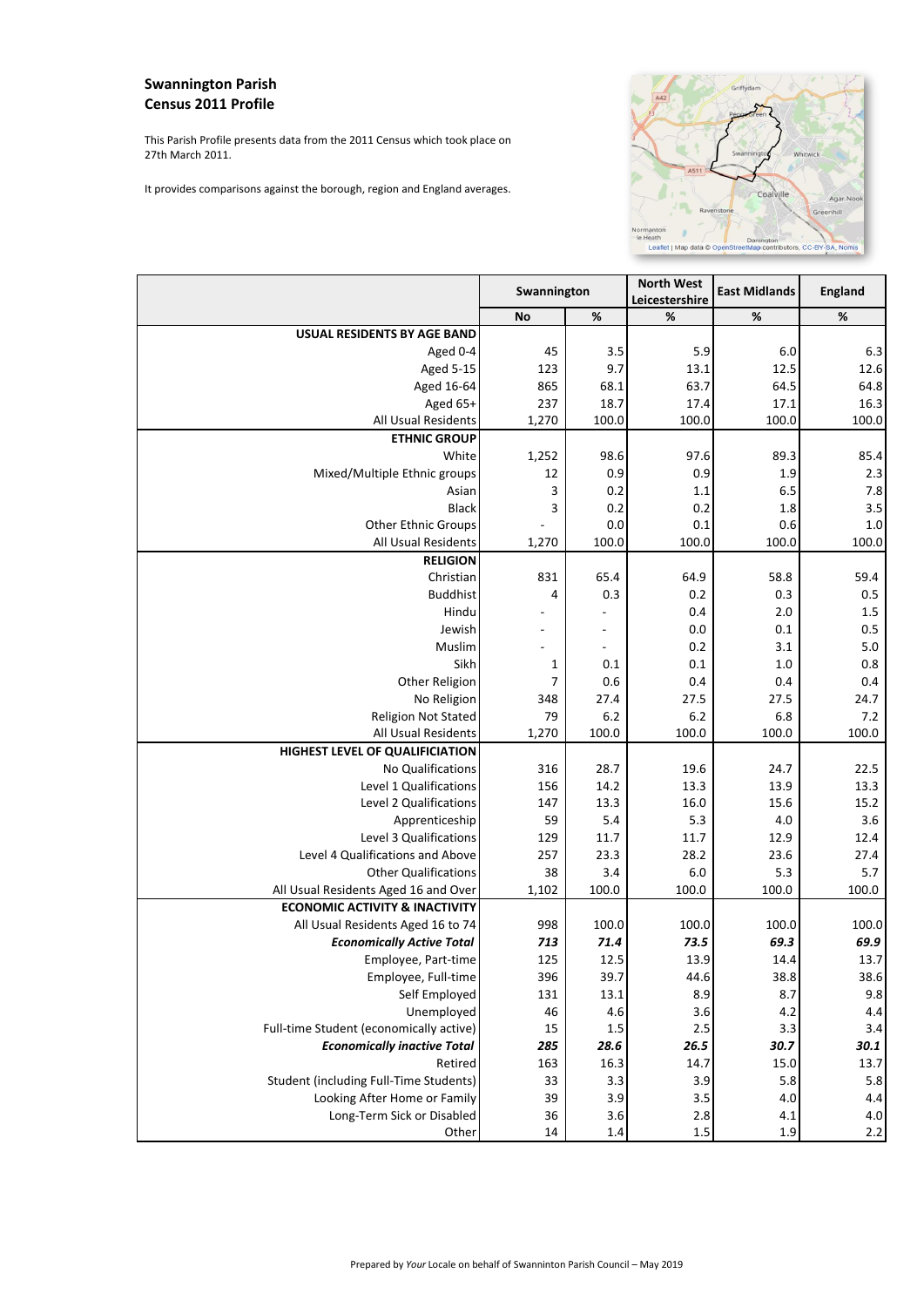## **Swannington Parish Census 2011 Profile**

This Parish Profile presents data from the 2011 Census which took place on 27th March 2011.

It provides comparisons against the borough, region and England averages.



|                                           | Swannington              |                          | <b>North West</b><br>Leicestershire | <b>East Midlands</b> | England |
|-------------------------------------------|--------------------------|--------------------------|-------------------------------------|----------------------|---------|
|                                           | <b>No</b>                | %                        | %                                   | %                    | $\%$    |
| <b>USUAL RESIDENTS BY AGE BAND</b>        |                          |                          |                                     |                      |         |
| Aged 0-4                                  | 45                       | 3.5                      | 5.9                                 | 6.0                  | 6.3     |
| <b>Aged 5-15</b>                          | 123                      | 9.7                      | 13.1                                | 12.5                 | 12.6    |
| Aged 16-64                                | 865                      | 68.1                     | 63.7                                | 64.5                 | 64.8    |
| Aged 65+                                  | 237                      | 18.7                     | 17.4                                | 17.1                 | 16.3    |
| All Usual Residents                       | 1,270                    | 100.0                    | 100.0                               | 100.0                | 100.0   |
| <b>ETHNIC GROUP</b>                       |                          |                          |                                     |                      |         |
| White                                     | 1,252                    | 98.6                     | 97.6                                | 89.3                 | 85.4    |
| Mixed/Multiple Ethnic groups              | 12                       | 0.9                      | 0.9                                 | 1.9                  | 2.3     |
| Asian                                     | 3                        | 0.2                      | 1.1                                 | 6.5                  | 7.8     |
| <b>Black</b>                              | 3                        | 0.2                      | 0.2                                 | 1.8                  | 3.5     |
| Other Ethnic Groups                       | $\overline{\phantom{a}}$ | 0.0                      | 0.1                                 | 0.6                  | 1.0     |
| All Usual Residents                       | 1,270                    | 100.0                    | 100.0                               | 100.0                | 100.0   |
| <b>RELIGION</b>                           |                          |                          |                                     |                      |         |
| Christian                                 | 831                      | 65.4                     | 64.9                                | 58.8                 | 59.4    |
| <b>Buddhist</b>                           | 4                        | 0.3                      | 0.2                                 | 0.3                  | 0.5     |
| Hindu                                     |                          |                          | 0.4                                 | 2.0                  | 1.5     |
| Jewish                                    |                          |                          | 0.0                                 | 0.1                  | 0.5     |
| Muslim                                    |                          | $\overline{\phantom{a}}$ | 0.2                                 | 3.1                  | 5.0     |
| Sikh                                      | 1                        | 0.1                      | 0.1                                 | 1.0                  | 0.8     |
| Other Religion                            | 7                        | 0.6                      | 0.4                                 | 0.4                  | 0.4     |
| No Religion                               | 348                      | 27.4                     | 27.5                                | 27.5                 | 24.7    |
| <b>Religion Not Stated</b>                | 79                       | 6.2                      | 6.2                                 | 6.8                  | 7.2     |
| All Usual Residents                       | 1,270                    | 100.0                    | 100.0                               | 100.0                | 100.0   |
| HIGHEST LEVEL OF QUALIFICIATION           |                          |                          |                                     |                      |         |
| No Qualifications                         | 316                      | 28.7                     | 19.6                                | 24.7                 | 22.5    |
| Level 1 Qualifications                    | 156                      | 14.2                     | 13.3                                | 13.9                 | 13.3    |
| Level 2 Qualifications                    | 147                      | 13.3                     | 16.0                                | 15.6                 | 15.2    |
| Apprenticeship                            | 59                       | 5.4                      | 5.3                                 | 4.0                  | 3.6     |
| Level 3 Qualifications                    | 129                      | 11.7                     | 11.7                                | 12.9                 | 12.4    |
| Level 4 Qualifications and Above          | 257                      | 23.3                     | 28.2                                | 23.6                 | 27.4    |
| <b>Other Qualifications</b>               | 38                       | 3.4                      | 6.0                                 | 5.3                  | 5.7     |
| All Usual Residents Aged 16 and Over      | 1,102                    | 100.0                    | 100.0                               | 100.0                | 100.0   |
| <b>ECONOMIC ACTIVITY &amp; INACTIVITY</b> |                          |                          |                                     |                      |         |
| All Usual Residents Aged 16 to 74         | 998                      | 100.0                    | 100.0                               | 100.0                | 100.0   |
| <b>Economically Active Total</b>          | 713                      | 71.4                     | 73.5                                | 69.3                 | 69.9    |
| Employee, Part-time                       | 125                      | 12.5                     | 13.9                                | 14.4                 | 13.7    |
| Employee, Full-time                       | 396                      | 39.7                     | 44.6                                | 38.8                 | 38.6    |
| Self Employed                             | 131                      | 13.1                     | 8.9                                 | 8.7                  | 9.8     |
| Unemployed                                | 46                       | 4.6                      | 3.6                                 | $4.2\,$              | 4.4     |
| Full-time Student (economically active)   | 15                       | $1.5$                    | 2.5                                 | 3.3                  | 3.4     |
| <b>Economically inactive Total</b>        | 285                      | 28.6                     | 26.5                                | 30.7                 | 30.1    |
| Retired                                   | 163                      | 16.3                     | 14.7                                | 15.0                 | 13.7    |
| Student (including Full-Time Students)    | 33                       | 3.3                      | 3.9                                 | 5.8                  | 5.8     |
| Looking After Home or Family              | 39                       | 3.9                      | $3.5\,$                             | $4.0\,$              | 4.4     |
| Long-Term Sick or Disabled                | 36                       | $3.6\,$                  | 2.8                                 | 4.1                  | 4.0     |
| Other                                     | 14                       | $1.4\,$                  | $1.5\,$                             | $1.9\,$              | 2.2     |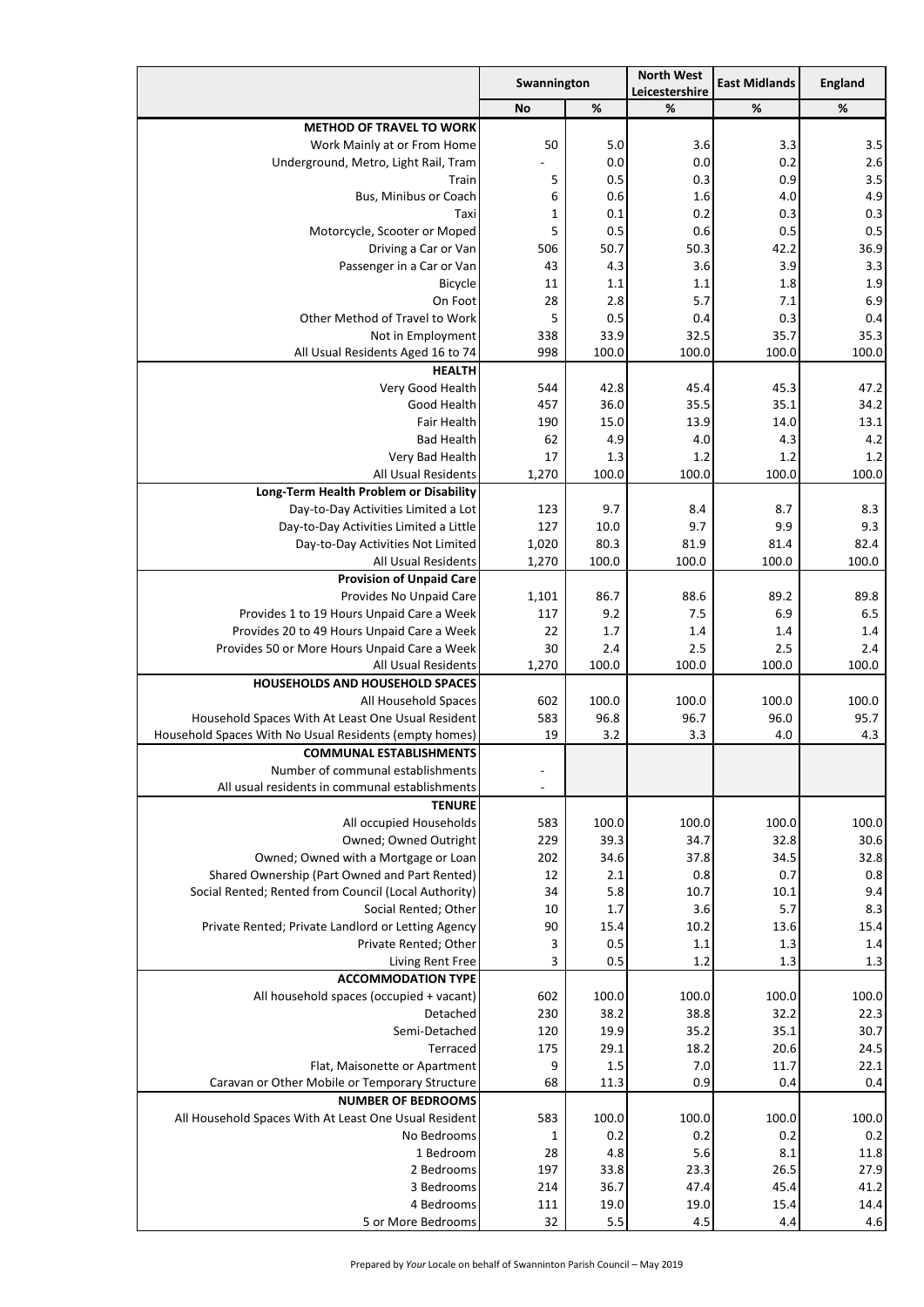|                                                                                            | Swannington |            | <b>North West</b><br>Leicestershire | <b>East Midlands</b> | England    |
|--------------------------------------------------------------------------------------------|-------------|------------|-------------------------------------|----------------------|------------|
|                                                                                            | <b>No</b>   | %          | %                                   | %                    | %          |
| <b>METHOD OF TRAVEL TO WORK</b>                                                            |             |            |                                     |                      |            |
| Work Mainly at or From Home                                                                | 50          | 5.0        | 3.6                                 | 3.3                  | 3.5        |
| Underground, Metro, Light Rail, Tram                                                       |             | 0.0        | 0.0                                 | 0.2                  | 2.6        |
| Train                                                                                      | 5           | 0.5        | 0.3                                 | 0.9                  | 3.5        |
| Bus, Minibus or Coach                                                                      | 6           | 0.6        | 1.6                                 | 4.0                  | 4.9        |
| Taxi                                                                                       | $\mathbf 1$ | 0.1        | 0.2                                 | 0.3                  | 0.3        |
| Motorcycle, Scooter or Moped                                                               | 5           | 0.5        | 0.6                                 | 0.5                  | 0.5        |
| Driving a Car or Van                                                                       | 506         | 50.7       | 50.3                                | 42.2                 | 36.9       |
| Passenger in a Car or Van                                                                  | 43          | 4.3        | 3.6                                 | 3.9                  | 3.3        |
| <b>Bicycle</b><br>On Foot                                                                  | 11<br>28    | 1.1<br>2.8 | 1.1<br>5.7                          | 1.8<br>7.1           | 1.9<br>6.9 |
| Other Method of Travel to Work                                                             | 5           | 0.5        | 0.4                                 | 0.3                  | 0.4        |
| Not in Employment                                                                          | 338         | 33.9       | 32.5                                | 35.7                 | 35.3       |
| All Usual Residents Aged 16 to 74                                                          | 998         | 100.0      | 100.0                               | 100.0                | 100.0      |
| <b>HEALTH</b>                                                                              |             |            |                                     |                      |            |
| Very Good Health                                                                           | 544         | 42.8       | 45.4                                | 45.3                 | 47.2       |
| Good Health                                                                                | 457         | 36.0       | 35.5                                | 35.1                 | 34.2       |
| Fair Health                                                                                | 190         | 15.0       | 13.9                                | 14.0                 | 13.1       |
| <b>Bad Health</b>                                                                          | 62          | 4.9        | 4.0                                 | 4.3                  | 4.2        |
| Very Bad Health                                                                            | 17          | 1.3        | 1.2                                 | 1.2                  | 1.2        |
| <b>All Usual Residents</b>                                                                 | 1,270       | 100.0      | 100.0                               | 100.0                | 100.0      |
| Long-Term Health Problem or Disability                                                     |             |            |                                     |                      |            |
| Day-to-Day Activities Limited a Lot                                                        | 123         | 9.7        | 8.4                                 | 8.7                  | 8.3        |
| Day-to-Day Activities Limited a Little                                                     | 127         | 10.0       | 9.7                                 | 9.9                  | 9.3        |
| Day-to-Day Activities Not Limited                                                          | 1,020       | 80.3       | 81.9                                | 81.4                 | 82.4       |
| All Usual Residents                                                                        | 1,270       | 100.0      | 100.0                               | 100.0                | 100.0      |
| <b>Provision of Unpaid Care</b>                                                            |             |            |                                     |                      |            |
| Provides No Unpaid Care                                                                    | 1,101       | 86.7       | 88.6                                | 89.2                 | 89.8       |
| Provides 1 to 19 Hours Unpaid Care a Week                                                  | 117         | 9.2<br>1.7 | 7.5                                 | 6.9                  | 6.5        |
| Provides 20 to 49 Hours Unpaid Care a Week<br>Provides 50 or More Hours Unpaid Care a Week | 22<br>30    | 2.4        | 1.4<br>2.5                          | 1.4<br>2.5           | 1.4<br>2.4 |
| <b>All Usual Residents</b>                                                                 | 1,270       | 100.0      | 100.0                               | 100.0                | 100.0      |
| HOUSEHOLDS AND HOUSEHOLD SPACES                                                            |             |            |                                     |                      |            |
| All Household Spaces                                                                       | 602         | 100.0      | 100.0                               | 100.0                | 100.0      |
| Household Spaces With At Least One Usual Resident                                          | 583         | 96.8       | 96.7                                | 96.0                 | 95.7       |
| Household Spaces With No Usual Residents (empty homes)                                     | 19          | 3.2        | 3.3                                 | 4.0                  | 4.3        |
| <b>COMMUNAL ESTABLISHMENTS</b>                                                             |             |            |                                     |                      |            |
| Number of communal establishments                                                          |             |            |                                     |                      |            |
| All usual residents in communal establishments                                             |             |            |                                     |                      |            |
| <b>TENURE</b>                                                                              |             |            |                                     |                      |            |
| All occupied Households                                                                    | 583         | 100.0      | 100.0                               | 100.0                | 100.0      |
| Owned; Owned Outright                                                                      | 229         | 39.3       | 34.7                                | 32.8                 | 30.6       |
| Owned; Owned with a Mortgage or Loan                                                       | 202         | 34.6       | 37.8                                | 34.5                 | 32.8       |
| Shared Ownership (Part Owned and Part Rented)                                              | 12          | 2.1        | 0.8                                 | 0.7                  | 0.8        |
| Social Rented; Rented from Council (Local Authority)                                       | 34          | 5.8        | 10.7                                | 10.1                 | 9.4        |
| Social Rented; Other                                                                       | 10          | 1.7        | 3.6                                 | 5.7                  | 8.3        |
| Private Rented; Private Landlord or Letting Agency<br>Private Rented; Other                | 90          | 15.4       | 10.2                                | 13.6                 | 15.4       |
| Living Rent Free                                                                           | 3<br>3      | 0.5<br>0.5 | 1.1<br>1.2                          | 1.3<br>1.3           | 1.4<br>1.3 |
| <b>ACCOMMODATION TYPE</b>                                                                  |             |            |                                     |                      |            |
| All household spaces (occupied + vacant)                                                   | 602         | 100.0      | 100.0                               | 100.0                | 100.0      |
| Detached                                                                                   | 230         | 38.2       | 38.8                                | 32.2                 | 22.3       |
| Semi-Detached                                                                              | 120         | 19.9       | 35.2                                | 35.1                 | 30.7       |
| Terraced                                                                                   | 175         | 29.1       | 18.2                                | 20.6                 | 24.5       |
| Flat, Maisonette or Apartment                                                              | 9           | 1.5        | 7.0                                 | 11.7                 | 22.1       |
| Caravan or Other Mobile or Temporary Structure                                             | 68          | 11.3       | 0.9                                 | 0.4                  | 0.4        |
| <b>NUMBER OF BEDROOMS</b>                                                                  |             |            |                                     |                      |            |
| All Household Spaces With At Least One Usual Resident                                      | 583         | 100.0      | 100.0                               | 100.0                | 100.0      |
| No Bedrooms                                                                                | 1           | 0.2        | 0.2                                 | 0.2                  | 0.2        |
| 1 Bedroom                                                                                  | 28          | 4.8        | $5.6$                               | 8.1                  | 11.8       |
| 2 Bedrooms                                                                                 | 197         | 33.8       | 23.3                                | 26.5                 | 27.9       |
| 3 Bedrooms                                                                                 | 214         | 36.7       | 47.4                                | 45.4                 | 41.2       |
| 4 Bedrooms                                                                                 | 111         | 19.0       | 19.0                                | 15.4                 | 14.4       |
| 5 or More Bedrooms                                                                         | 32          | 5.5        | 4.5                                 | 4.4                  | 4.6        |